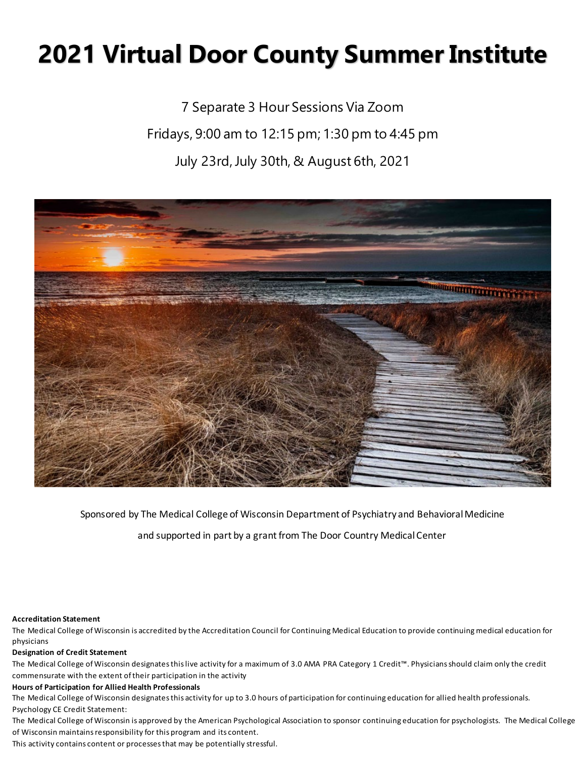# **2021 Virtual Door County Summer Institute**

7 Separate 3 Hour Sessions Via Zoom Fridays, 9:00 am to 12:15 pm; 1:30 pm to 4:45 pm July 23rd, July 30th, & August 6th, 2021



Sponsored by The Medical College of Wisconsin Department of Psychiatry and Behavioral Medicine

and supported in part by a grant from The Door Country Medical Center

#### **Accreditation Statement**

The Medical College of Wisconsin is accredited by the Accreditation Council for Continuing Medical Education to provide continuing medical education for physicians

#### **Designation of Credit Statement**

The Medical College of Wisconsin designates this live activity for a maximum of 3.0 AMA PRA Category 1 Credit™. Physicians should claim only the credit commensurate with the extent of their participation in the activity

#### **Hours of Participation for Allied Health Professionals**

The Medical College of Wisconsin designates this activity for up to 3.0 hours of participation for continuing education for allied health professionals. Psychology CE Credit Statement:

The Medical College of Wisconsin is approved by the American Psychological Association to sponsor continuing education for psychologists. The Medical College of Wisconsin maintains responsibility for this program and its content.

This activity contains content or processes that may be potentially stressful.